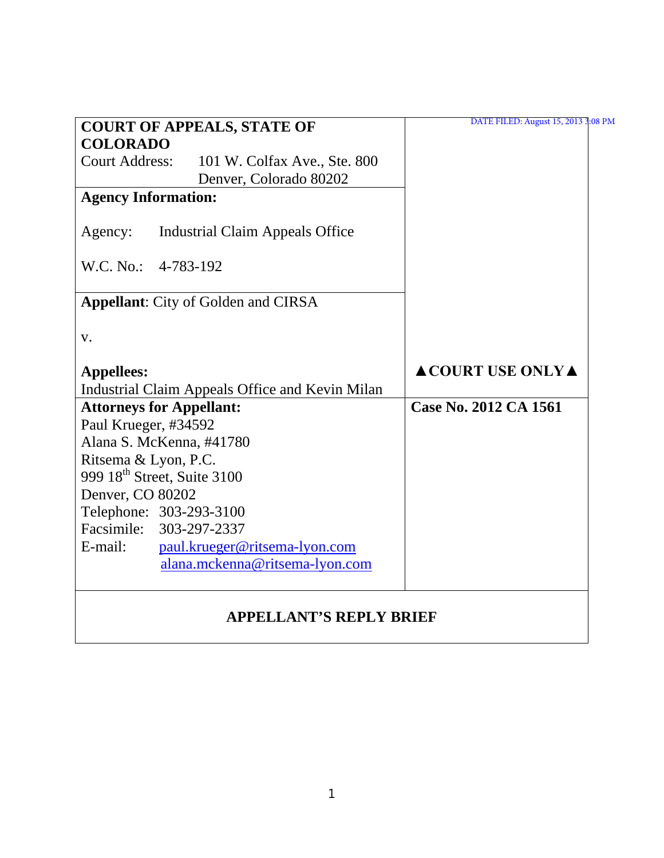| <b>COURT OF APPEALS, STATE OF</b>                     | DATE FILED: August 15, 2013 3:08 PM    |
|-------------------------------------------------------|----------------------------------------|
| <b>COLORADO</b>                                       |                                        |
| <b>Court Address:</b><br>101 W. Colfax Ave., Ste. 800 |                                        |
| Denver, Colorado 80202                                |                                        |
| <b>Agency Information:</b>                            |                                        |
| <b>Industrial Claim Appeals Office</b><br>Agency:     |                                        |
| W.C. No.: 4-783-192                                   |                                        |
| <b>Appellant:</b> City of Golden and CIRSA            |                                        |
| V.                                                    |                                        |
| <b>Appellees:</b>                                     | $\triangle$ COURT USE ONLY $\triangle$ |
| Industrial Claim Appeals Office and Kevin Milan       |                                        |
| <b>Attorneys for Appellant:</b>                       | Case No. 2012 CA 1561                  |
| Paul Krueger, #34592                                  |                                        |
| Alana S. McKenna, #41780                              |                                        |
| Ritsema & Lyon, P.C.                                  |                                        |
| 999 18 <sup>th</sup> Street, Suite 3100               |                                        |
| Denver, CO 80202                                      |                                        |
| Telephone: 303-293-3100                               |                                        |
| Facsimile: 303-297-2337                               |                                        |
| E-mail:<br>paul.krueger@ritsema-lyon.com              |                                        |
| alana.mckenna@ritsema-lyon.com                        |                                        |
| <b>APPELLANT'S REPLY BRIEF</b>                        |                                        |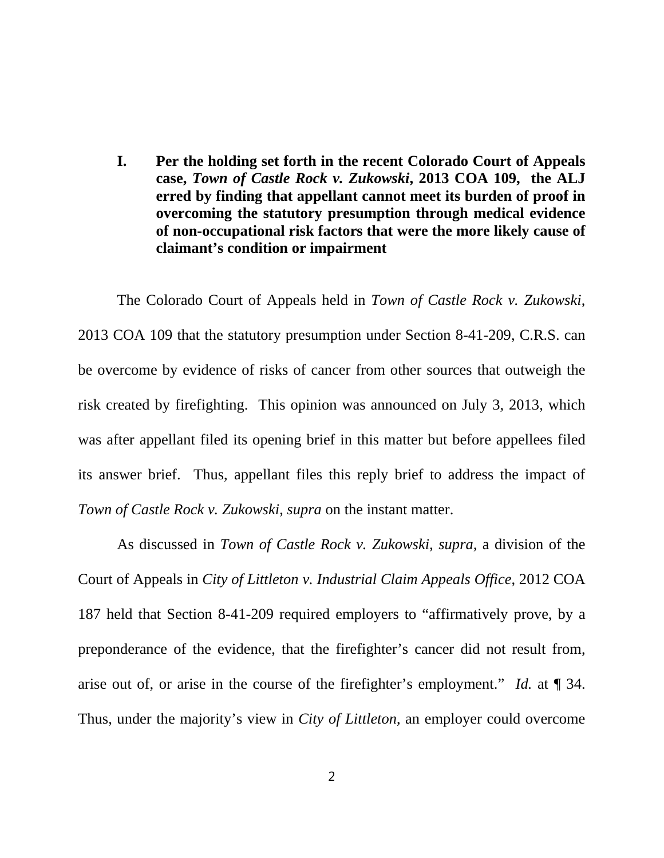**I. Per the holding set forth in the recent Colorado Court of Appeals case,** *Town of Castle Rock v. Zukowski***, 2013 COA 109, the ALJ erred by finding that appellant cannot meet its burden of proof in overcoming the statutory presumption through medical evidence of non-occupational risk factors that were the more likely cause of claimant's condition or impairment**

The Colorado Court of Appeals held in *Town of Castle Rock v. Zukowski*, 2013 COA 109 that the statutory presumption under Section 8-41-209, C.R.S. can be overcome by evidence of risks of cancer from other sources that outweigh the risk created by firefighting. This opinion was announced on July 3, 2013, which was after appellant filed its opening brief in this matter but before appellees filed its answer brief. Thus, appellant files this reply brief to address the impact of *Town of Castle Rock v. Zukowski*, *supra* on the instant matter.

As discussed in *Town of Castle Rock v. Zukowski, supra,* a division of the Court of Appeals in *City of Littleton v. Industrial Claim Appeals Office*, 2012 COA 187 held that Section 8-41-209 required employers to "affirmatively prove, by a preponderance of the evidence, that the firefighter's cancer did not result from, arise out of, or arise in the course of the firefighter's employment." *Id.* at ¶ 34. Thus, under the majority's view in *City of Littleton*, an employer could overcome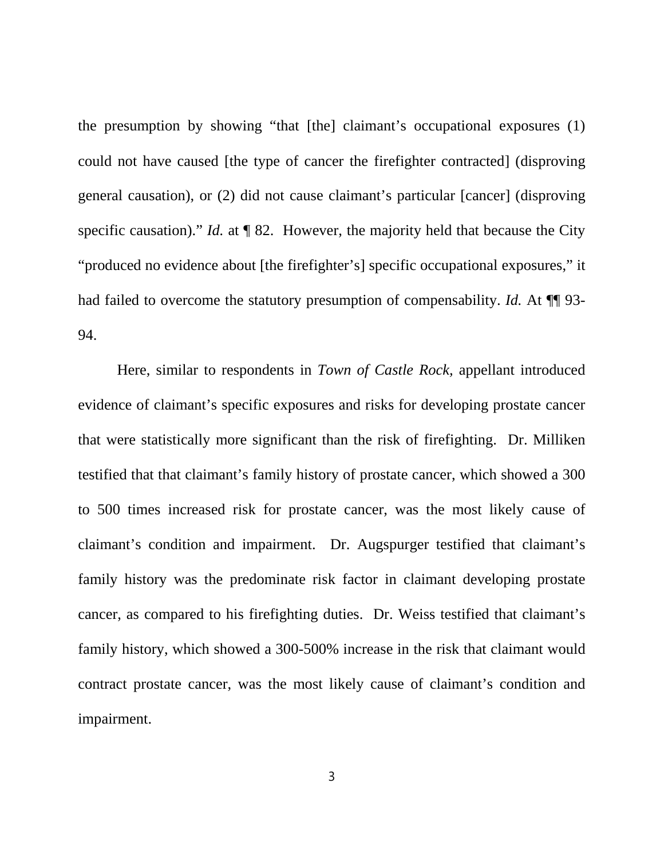the presumption by showing "that [the] claimant's occupational exposures (1) could not have caused [the type of cancer the firefighter contracted] (disproving general causation), or (2) did not cause claimant's particular [cancer] (disproving specific causation)." *Id.* at ¶ 82. However, the majority held that because the City "produced no evidence about [the firefighter's] specific occupational exposures," it had failed to overcome the statutory presumption of compensability. *Id.* At  $\P$  93-94.

Here, similar to respondents in *Town of Castle Rock,* appellant introduced evidence of claimant's specific exposures and risks for developing prostate cancer that were statistically more significant than the risk of firefighting. Dr. Milliken testified that that claimant's family history of prostate cancer, which showed a 300 to 500 times increased risk for prostate cancer, was the most likely cause of claimant's condition and impairment. Dr. Augspurger testified that claimant's family history was the predominate risk factor in claimant developing prostate cancer, as compared to his firefighting duties. Dr. Weiss testified that claimant's family history, which showed a 300-500% increase in the risk that claimant would contract prostate cancer, was the most likely cause of claimant's condition and impairment.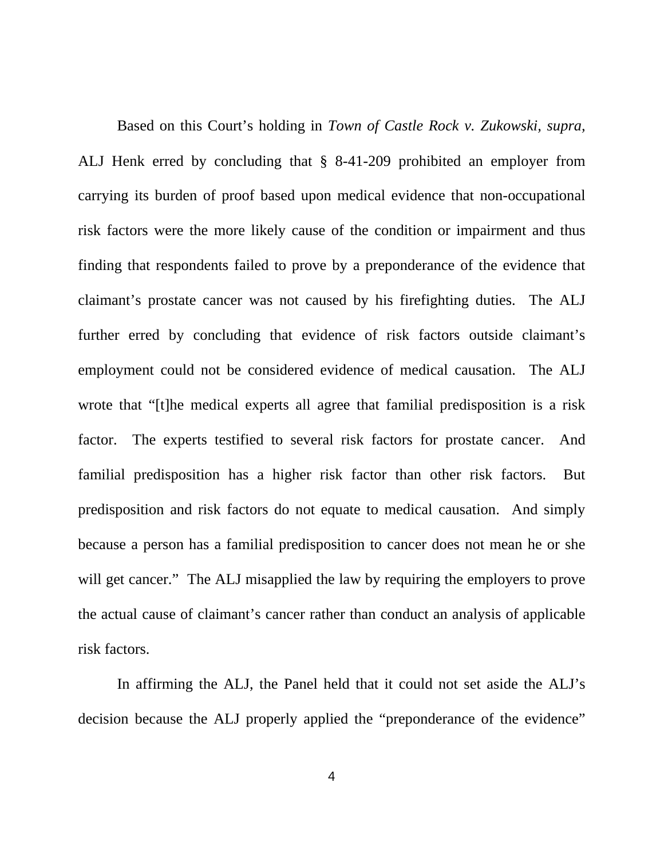Based on this Court's holding in *Town of Castle Rock v. Zukowski, supra,*  ALJ Henk erred by concluding that § 8-41-209 prohibited an employer from carrying its burden of proof based upon medical evidence that non-occupational risk factors were the more likely cause of the condition or impairment and thus finding that respondents failed to prove by a preponderance of the evidence that claimant's prostate cancer was not caused by his firefighting duties. The ALJ further erred by concluding that evidence of risk factors outside claimant's employment could not be considered evidence of medical causation. The ALJ wrote that "[t]he medical experts all agree that familial predisposition is a risk factor. The experts testified to several risk factors for prostate cancer. And familial predisposition has a higher risk factor than other risk factors. But predisposition and risk factors do not equate to medical causation. And simply because a person has a familial predisposition to cancer does not mean he or she will get cancer." The ALJ misapplied the law by requiring the employers to prove the actual cause of claimant's cancer rather than conduct an analysis of applicable risk factors.

In affirming the ALJ, the Panel held that it could not set aside the ALJ's decision because the ALJ properly applied the "preponderance of the evidence"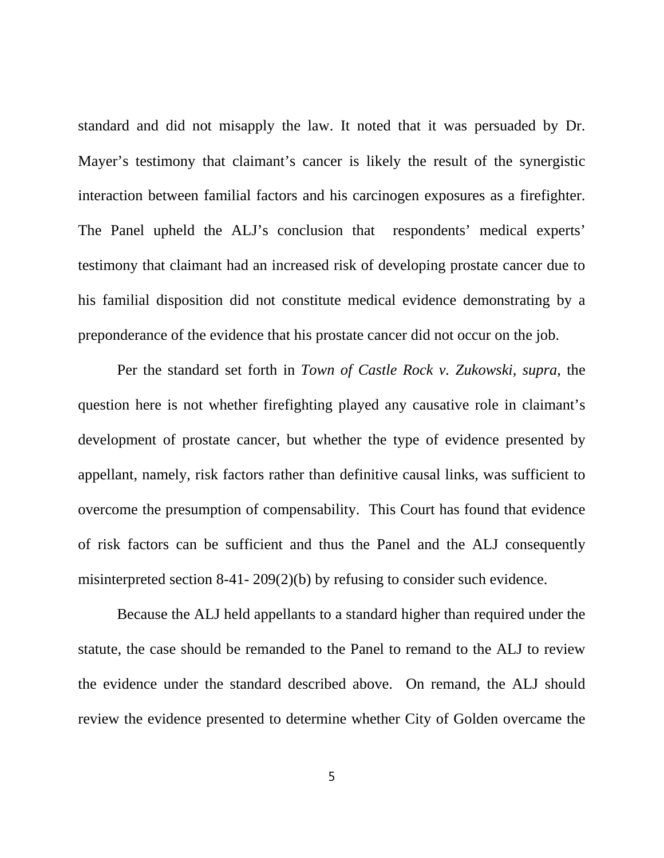standard and did not misapply the law. It noted that it was persuaded by Dr. Mayer's testimony that claimant's cancer is likely the result of the synergistic interaction between familial factors and his carcinogen exposures as a firefighter. The Panel upheld the ALJ's conclusion that respondents' medical experts' testimony that claimant had an increased risk of developing prostate cancer due to his familial disposition did not constitute medical evidence demonstrating by a preponderance of the evidence that his prostate cancer did not occur on the job.

Per the standard set forth in *Town of Castle Rock v. Zukowski, supra,* the question here is not whether firefighting played any causative role in claimant's development of prostate cancer, but whether the type of evidence presented by appellant, namely, risk factors rather than definitive causal links, was sufficient to overcome the presumption of compensability. This Court has found that evidence of risk factors can be sufficient and thus the Panel and the ALJ consequently misinterpreted section 8-41- 209(2)(b) by refusing to consider such evidence.

Because the ALJ held appellants to a standard higher than required under the statute, the case should be remanded to the Panel to remand to the ALJ to review the evidence under the standard described above. On remand, the ALJ should review the evidence presented to determine whether City of Golden overcame the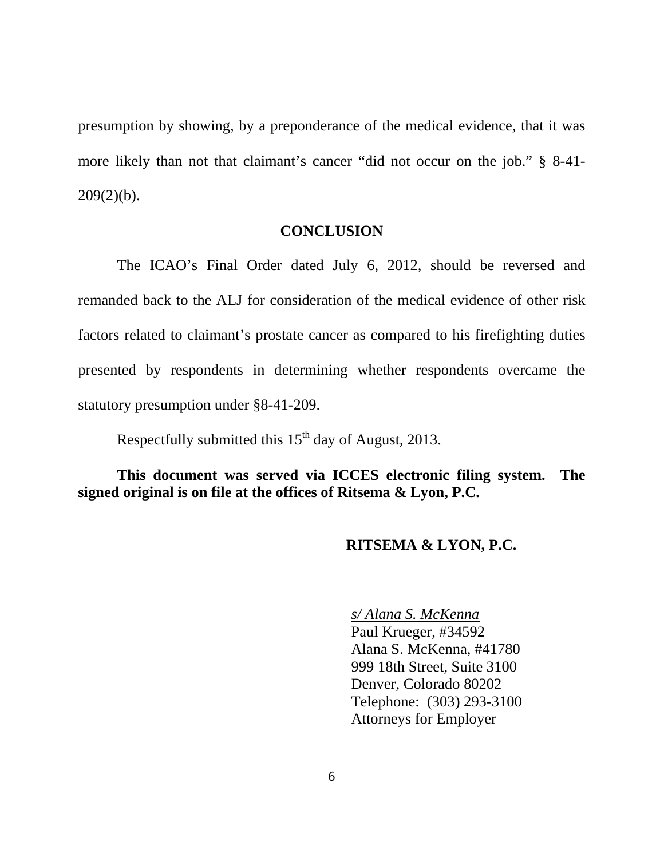presumption by showing, by a preponderance of the medical evidence, that it was more likely than not that claimant's cancer "did not occur on the job." § 8-41-  $209(2)(b)$ .

## **CONCLUSION**

The ICAO's Final Order dated July 6, 2012, should be reversed and remanded back to the ALJ for consideration of the medical evidence of other risk factors related to claimant's prostate cancer as compared to his firefighting duties presented by respondents in determining whether respondents overcame the statutory presumption under §8-41-209.

Respectfully submitted this  $15<sup>th</sup>$  day of August, 2013.

**This document was served via ICCES electronic filing system. The signed original is on file at the offices of Ritsema & Lyon, P.C.**

## **RITSEMA & LYON, P.C.**

*s/ Alana S. McKenna* Paul Krueger, #34592 Alana S. McKenna, #41780 999 18th Street, Suite 3100 Denver, Colorado 80202 Telephone: (303) 293-3100 Attorneys for Employer